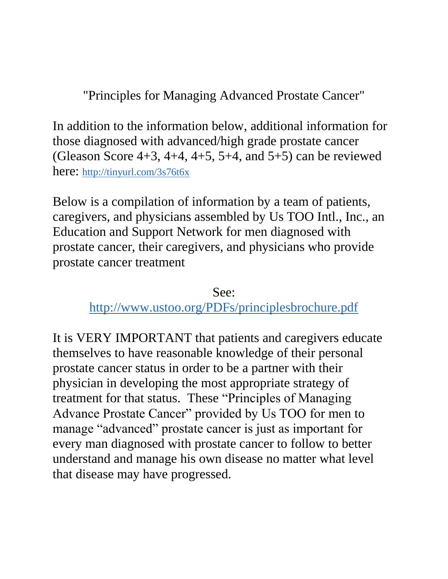"Principles for Managing Advanced Prostate Cancer"

In addition to the information below, additional information for those diagnosed with advanced/high grade prostate cancer (Gleason Score  $4+3$ ,  $4+4$ ,  $4+5$ ,  $5+4$ , and  $5+5$ ) can be reviewed here: <http://tinyurl.com/3s76t6x>

Below is a compilation of information by a team of patients, caregivers, and physicians assembled by Us TOO Intl., Inc., an Education and Support Network for men diagnosed with prostate cancer, their caregivers, and physicians who provide prostate cancer treatment

See:

<http://www.ustoo.org/PDFs/principlesbrochure.pdf>

It is VERY IMPORTANT that patients and caregivers educate themselves to have reasonable knowledge of their personal prostate cancer status in order to be a partner with their physician in developing the most appropriate strategy of treatment for that status. These "Principles of Managing Advance Prostate Cancer" provided by Us TOO for men to manage "advanced" prostate cancer is just as important for every man diagnosed with prostate cancer to follow to better understand and manage his own disease no matter what level that disease may have progressed.